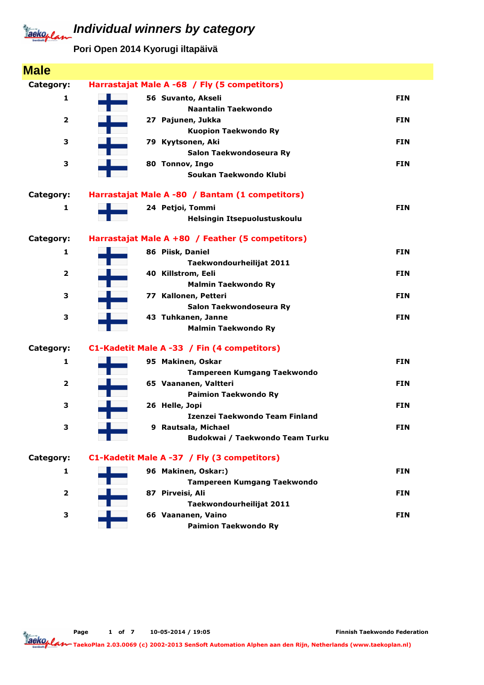**Pori Open 2014 Kyorugi iltapäivä**

| <b>Male</b>             |                                                  |            |
|-------------------------|--------------------------------------------------|------------|
| Category:               | Harrastajat Male A -68 / Fly (5 competitors)     |            |
| 1                       | 56 Suvanto, Akseli                               | <b>FIN</b> |
|                         | Naantalin Taekwondo                              |            |
| 2                       | 27 Pajunen, Jukka                                | <b>FIN</b> |
|                         | <b>Kuopion Taekwondo Ry</b>                      |            |
| 3                       | 79 Kyytsonen, Aki                                | <b>FIN</b> |
|                         | Salon Taekwondoseura Ry                          |            |
| З                       | 80 Tonnov, Ingo                                  | <b>FIN</b> |
|                         | Soukan Taekwondo Klubi                           |            |
| Category:               | Harrastajat Male A -80 / Bantam (1 competitors)  |            |
| 1                       | 24 Petjoi, Tommi                                 | <b>FIN</b> |
|                         | Helsingin Itsepuolustuskoulu                     |            |
| Category:               | Harrastajat Male A +80 / Feather (5 competitors) |            |
| 1                       | 86 Piisk, Daniel                                 | <b>FIN</b> |
|                         | Taekwondourheilijat 2011                         |            |
| $\overline{2}$          | 40 Killstrom, Eeli                               | <b>FIN</b> |
|                         | <b>Malmin Taekwondo Ry</b>                       |            |
| 3                       | 77 Kallonen, Petteri                             | <b>FIN</b> |
|                         | Salon Taekwondoseura Ry                          |            |
| 3                       | 43 Tuhkanen, Janne                               | <b>FIN</b> |
|                         | <b>Malmin Taekwondo Ry</b>                       |            |
| Category:               | C1-Kadetit Male A -33 / Fin (4 competitors)      |            |
| 1                       | 95 Makinen, Oskar                                | <b>FIN</b> |
|                         | <b>Tampereen Kumgang Taekwondo</b>               |            |
| $\overline{\mathbf{2}}$ | 65 Vaananen, Valtteri                            | <b>FIN</b> |
|                         | <b>Paimion Taekwondo Ry</b>                      |            |
| 3                       | 26 Helle, Jopi                                   | <b>FIN</b> |
|                         | Izenzei Taekwondo Team Finland                   |            |
| з                       | 9 Rautsala, Michael                              | <b>FIN</b> |
|                         | Budokwai / Taekwondo Team Turku                  |            |
| Category:               | C1-Kadetit Male A -37 / Fly (3 competitors)      |            |
| 1                       | 96 Makinen, Oskar:)                              | <b>FIN</b> |
|                         | <b>Tampereen Kumgang Taekwondo</b>               |            |
| $\overline{\mathbf{2}}$ | 87 Pirveisi, Ali                                 | <b>FIN</b> |
|                         | Taekwondourheilijat 2011                         |            |
| З                       | 66 Vaananen, Vaino                               | <b>FIN</b> |
|                         | <b>Paimion Taekwondo Ry</b>                      |            |

Page 1 of 7 10-05-2014 / 19:05

Finnish Taekwondo Federation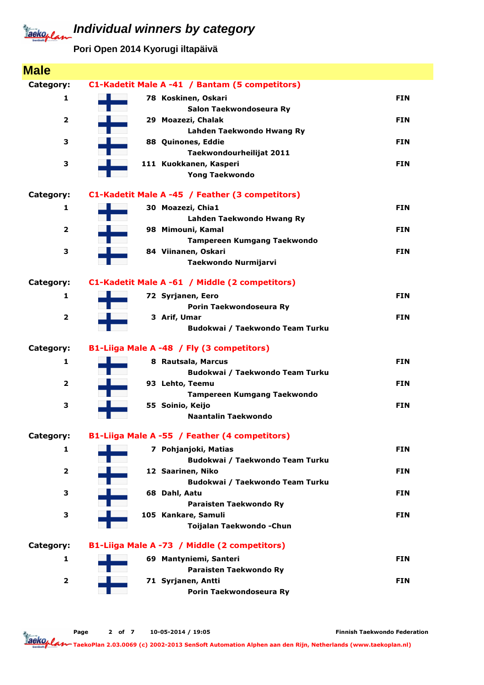**Pori Open 2014 Kyorugi iltapäivä**

| <b>Male</b>             |                                                 |            |
|-------------------------|-------------------------------------------------|------------|
| Category:               | C1-Kadetit Male A -41 / Bantam (5 competitors)  |            |
| 1                       | 78 Koskinen, Oskari                             | <b>FIN</b> |
|                         | Salon Taekwondoseura Ry                         |            |
| $\mathbf{2}$            | 29 Moazezi, Chalak                              | <b>FIN</b> |
|                         | Lahden Taekwondo Hwang Ry                       |            |
| 3                       | 88 Quinones, Eddie                              | <b>FIN</b> |
|                         | Taekwondourheilijat 2011                        |            |
| 3                       | 111 Kuokkanen, Kasperi<br><b>Yong Taekwondo</b> | <b>FIN</b> |
|                         |                                                 |            |
| Category:               | C1-Kadetit Male A -45 / Feather (3 competitors) |            |
| 1                       | 30 Moazezi, Chia1                               | <b>FIN</b> |
|                         | Lahden Taekwondo Hwang Ry                       |            |
| $\overline{2}$          | 98 Mimouni, Kamal                               | <b>FIN</b> |
|                         | <b>Tampereen Kumgang Taekwondo</b>              |            |
| 3                       | 84 Viinanen, Oskari                             | <b>FIN</b> |
|                         | Taekwondo Nurmijarvi                            |            |
| Category:               | C1-Kadetit Male A -61 / Middle (2 competitors)  |            |
| 1                       | 72 Syrjanen, Eero                               | <b>FIN</b> |
|                         | Porin Taekwondoseura Ry                         |            |
| $\overline{2}$          | 3 Arif, Umar                                    | <b>FIN</b> |
|                         | Budokwai / Taekwondo Team Turku                 |            |
| Category:               | B1-Liiga Male A -48 / Fly (3 competitors)       |            |
| 1                       | 8 Rautsala, Marcus                              | <b>FIN</b> |
|                         | Budokwai / Taekwondo Team Turku                 |            |
| $\mathbf{2}$            | 93 Lehto, Teemu                                 | <b>FIN</b> |
|                         | <b>Tampereen Kumgang Taekwondo</b>              |            |
| 3                       | 55 Soinio, Keijo                                | <b>FIN</b> |
|                         | Naantalin Taekwondo                             |            |
| Category:               | B1-Liiga Male A -55 / Feather (4 competitors)   |            |
| 1                       | 7 Pohjanjoki, Matias                            | <b>FIN</b> |
|                         | Budokwai / Taekwondo Team Turku                 |            |
|                         |                                                 |            |
| $\mathbf{2}$            | 12 Saarinen, Niko                               | <b>FIN</b> |
|                         | Budokwai / Taekwondo Team Turku                 |            |
| 3                       | 68 Dahl, Aatu                                   | <b>FIN</b> |
|                         | Paraisten Taekwondo Ry                          |            |
| 3                       | 105 Kankare, Samuli                             | <b>FIN</b> |
|                         | Toijalan Taekwondo - Chun                       |            |
| Category:               | B1-Liiga Male A -73 / Middle (2 competitors)    |            |
| 1                       | 69 Mantyniemi, Santeri                          | <b>FIN</b> |
|                         | Paraisten Taekwondo Ry                          |            |
| $\overline{\mathbf{2}}$ | 71 Syrjanen, Antti                              | <b>FIN</b> |

Page 2 of 7 10-05-2014 / 19:05

Finnish Taekwondo Federation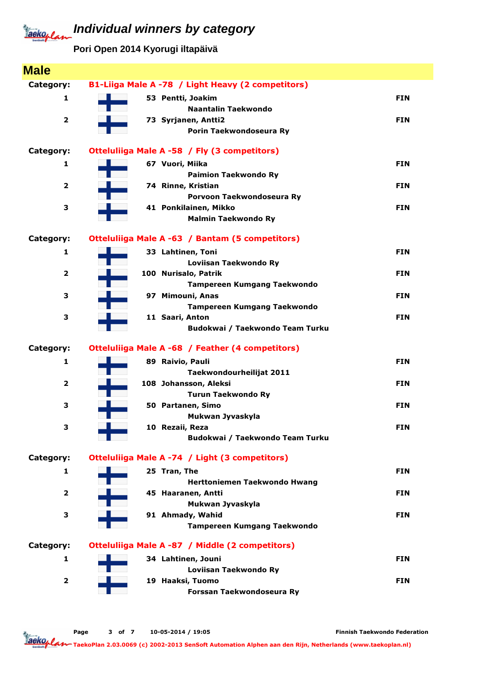**Pori Open 2014 Kyorugi iltapäivä**

| <b>Male</b>             |                                                    |            |
|-------------------------|----------------------------------------------------|------------|
| Category:               | B1-Liiga Male A -78 / Light Heavy (2 competitors)  |            |
| 1                       | 53 Pentti, Joakim                                  | <b>FIN</b> |
|                         | <b>Naantalin Taekwondo</b>                         |            |
| $\overline{\mathbf{2}}$ | 73 Syrjanen, Antti2                                | <b>FIN</b> |
|                         | Porin Taekwondoseura Ry                            |            |
| Category:               | Otteluliiga Male A -58 / Fly (3 competitors)       |            |
| 1                       | 67 Vuori, Miika                                    | <b>FIN</b> |
|                         | <b>Paimion Taekwondo Ry</b>                        |            |
| $\overline{\mathbf{2}}$ | 74 Rinne, Kristian                                 | <b>FIN</b> |
|                         | Porvoon Taekwondoseura Ry                          |            |
| 3                       | 41 Ponkilainen, Mikko                              | <b>FIN</b> |
|                         | <b>Malmin Taekwondo Ry</b>                         |            |
| Category:               | Otteluliiga Male A -63 / Bantam (5 competitors)    |            |
| 1                       | 33 Lahtinen, Toni                                  | <b>FIN</b> |
|                         | Loviisan Taekwondo Ry                              |            |
| $\overline{\mathbf{2}}$ | 100 Nurisalo, Patrik                               | <b>FIN</b> |
|                         | Tampereen Kumgang Taekwondo                        |            |
| 3                       | 97 Mimouni, Anas                                   | <b>FIN</b> |
|                         | Tampereen Kumgang Taekwondo                        |            |
| 3                       | 11 Saari, Anton<br>Budokwai / Taekwondo Team Turku | <b>FIN</b> |
|                         |                                                    |            |
| Category:               | Otteluliiga Male A -68 / Feather (4 competitors)   |            |
| 1                       | 89 Raivio, Pauli                                   | <b>FIN</b> |
|                         | Taekwondourheilijat 2011                           |            |
| $\overline{\mathbf{2}}$ | 108 Johansson, Aleksi                              | <b>FIN</b> |
|                         | <b>Turun Taekwondo Ry</b>                          |            |
| 3                       | 50 Partanen, Simo                                  | <b>FIN</b> |
| 3                       | Mukwan Jyvaskyla                                   | <b>FIN</b> |
|                         | 10 Rezaii, Reza<br>Budokwai / Taekwondo Team Turku |            |
|                         |                                                    |            |
| Category:               | Otteluliiga Male A -74 / Light (3 competitors)     |            |
| 1                       | 25 Tran, The                                       | <b>FIN</b> |
|                         | Herttoniemen Taekwondo Hwang                       |            |
| $\overline{\mathbf{2}}$ | 45 Haaranen, Antti                                 | <b>FIN</b> |
|                         | Mukwan Jyvaskyla                                   |            |
| 3                       | 91 Ahmady, Wahid                                   | <b>FIN</b> |
|                         | <b>Tampereen Kumgang Taekwondo</b>                 |            |
| Category:               | Otteluliiga Male A -87 / Middle (2 competitors)    |            |
| 1                       | 34 Lahtinen, Jouni                                 | <b>FIN</b> |
|                         | Loviisan Taekwondo Ry                              |            |
| $\overline{\mathbf{2}}$ | 19 Haaksi, Tuomo                                   | <b>FIN</b> |
|                         | Forssan Taekwondoseura Ry                          |            |

Finnish Taekwondo Federation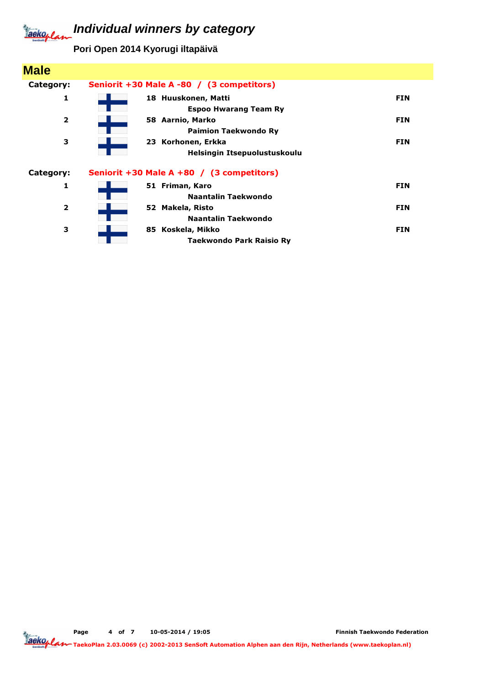**Pori Open 2014 Kyorugi iltapäivä**

| <b>Male</b>             |                                                     |            |
|-------------------------|-----------------------------------------------------|------------|
| Category:               | Seniorit +30 Male A -80 / (3 competitors)           |            |
| 1                       | 18 Huuskonen, Matti<br><b>Espoo Hwarang Team Ry</b> | <b>FIN</b> |
| $\overline{\mathbf{2}}$ | 58 Aarnio, Marko<br><b>Paimion Taekwondo Ry</b>     | <b>FIN</b> |
| 3                       | 23 Korhonen, Erkka<br>Helsingin Itsepuolustuskoulu  | <b>FIN</b> |
| Category:               | Seniorit +30 Male A +80 / (3 competitors)           |            |
| 1                       | 51 Friman, Karo<br>Naantalin Taekwondo              | <b>FIN</b> |
| $\overline{2}$          | 52 Makela, Risto<br><b>Naantalin Taekwondo</b>      | <b>FIN</b> |
| з                       | 85 Koskela, Mikko<br>Taekwondo Park Raisio Ry       | <b>FIN</b> |

Page 4 of 7 10-05-2014 / 19:05

Finnish Taekwondo Federation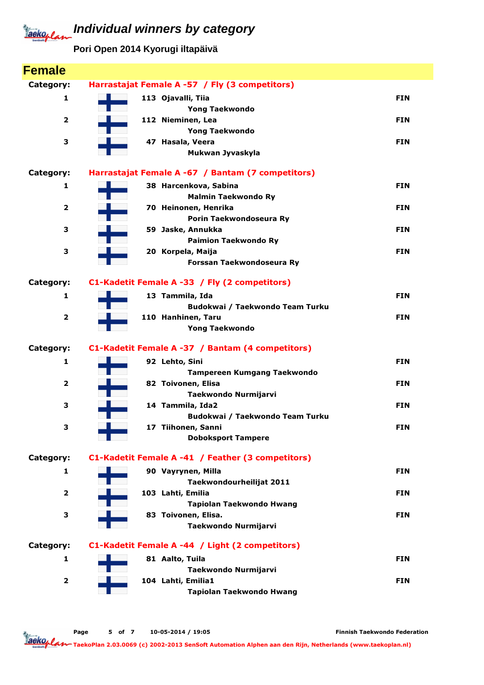**Pori Open 2014 Kyorugi iltapäivä**

| <b>Female</b>           |                                                       |            |
|-------------------------|-------------------------------------------------------|------------|
| Category:               | Harrastajat Female A -57 / Fly (3 competitors)        |            |
| $\mathbf{1}$            | 113 Ojavalli, Tiia                                    | <b>FIN</b> |
|                         | <b>Yong Taekwondo</b>                                 |            |
| 2                       | 112 Nieminen, Lea                                     | <b>FIN</b> |
|                         | <b>Yong Taekwondo</b>                                 |            |
| 3                       | 47 Hasala, Veera                                      | <b>FIN</b> |
|                         | Mukwan Jyvaskyla                                      |            |
| Category:               | Harrastajat Female A -67 / Bantam (7 competitors)     |            |
| 1                       | 38 Harcenkova, Sabina                                 | <b>FIN</b> |
|                         | <b>Malmin Taekwondo Ry</b>                            |            |
| 2                       | 70 Heinonen, Henrika                                  | <b>FIN</b> |
|                         | Porin Taekwondoseura Ry                               |            |
| 3                       | 59 Jaske, Annukka                                     | <b>FIN</b> |
| з                       | <b>Paimion Taekwondo Ry</b><br>20 Korpela, Maija      | <b>FIN</b> |
|                         | Forssan Taekwondoseura Ry                             |            |
|                         |                                                       |            |
| Category:               | C1-Kadetit Female A -33 / Fly (2 competitors)         |            |
| 1                       | 13 Tammila, Ida                                       | <b>FIN</b> |
|                         | Budokwai / Taekwondo Team Turku                       |            |
| $\overline{\mathbf{2}}$ | 110 Hanhinen, Taru                                    | <b>FIN</b> |
|                         | <b>Yong Taekwondo</b>                                 |            |
| Category:               | C1-Kadetit Female A -37 / Bantam (4 competitors)      |            |
| 1                       | 92 Lehto, Sini                                        | <b>FIN</b> |
|                         | <b>Tampereen Kumgang Taekwondo</b>                    |            |
| 2                       | 82 Toivonen, Elisa                                    | <b>FIN</b> |
|                         | Taekwondo Nurmijarvi                                  |            |
| 3                       | 14 Tammila, Ida2                                      | <b>FIN</b> |
| з                       | Budokwai / Taekwondo Team Turku<br>17 Tiihonen, Sanni | FIN        |
|                         | <b>Doboksport Tampere</b>                             |            |
|                         |                                                       |            |
| Category:               | C1-Kadetit Female A -41 / Feather (3 competitors)     |            |
| 1                       | 90 Vayrynen, Milla                                    | <b>FIN</b> |
|                         | Taekwondourheilijat 2011                              |            |
| $\overline{\mathbf{2}}$ | 103 Lahti, Emilia                                     | <b>FIN</b> |
|                         | Tapiolan Taekwondo Hwang                              |            |
| з                       | 83 Toivonen, Elisa.                                   | <b>FIN</b> |
|                         | Taekwondo Nurmijarvi                                  |            |
| Category:               | C1-Kadetit Female A -44 / Light (2 competitors)       |            |
| 1                       | 81 Aalto, Tuila                                       | <b>FIN</b> |
|                         | Taekwondo Nurmijarvi                                  |            |
| $\overline{\mathbf{2}}$ | 104 Lahti, Emilia1                                    | <b>FIN</b> |
|                         |                                                       |            |
|                         | Tapiolan Taekwondo Hwang                              |            |

Page 5 of 7 10-05-2014 / 19:05

Finnish Taekwondo Federation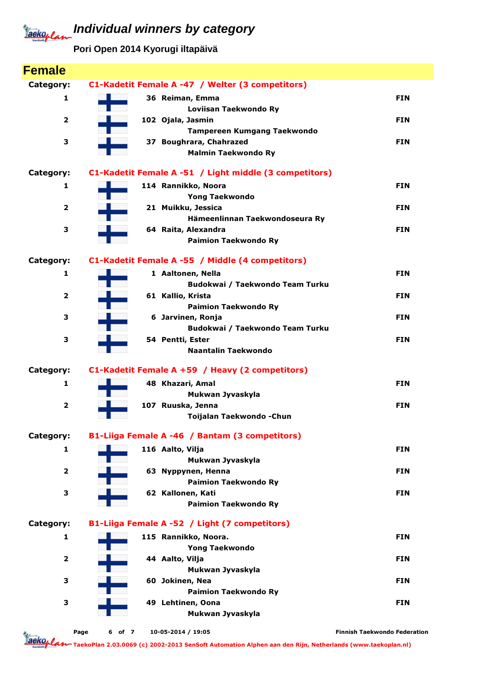**Pori Open 2014 Kyorugi iltapäivä**

| <b>Female</b>           |                |                                                        |                                     |
|-------------------------|----------------|--------------------------------------------------------|-------------------------------------|
| Category:               |                | C1-Kadetit Female A -47 / Welter (3 competitors)       |                                     |
| 1                       |                | 36 Reiman, Emma                                        | <b>FIN</b>                          |
|                         |                | Loviisan Taekwondo Ry                                  |                                     |
| $\overline{\mathbf{2}}$ |                | 102 Ojala, Jasmin                                      | <b>FIN</b>                          |
|                         |                | Tampereen Kumgang Taekwondo                            |                                     |
| З                       |                | 37 Boughrara, Chahrazed                                | <b>FIN</b>                          |
|                         |                | <b>Malmin Taekwondo Ry</b>                             |                                     |
| Category:               |                | C1-Kadetit Female A -51 / Light middle (3 competitors) |                                     |
| 1                       |                | 114 Rannikko, Noora                                    | <b>FIN</b>                          |
|                         |                | <b>Yong Taekwondo</b>                                  |                                     |
| 2                       |                | 21 Muikku, Jessica                                     | <b>FIN</b>                          |
|                         |                | Hämeenlinnan Taekwondoseura Ry                         |                                     |
| 3                       |                | 64 Raita, Alexandra                                    | <b>FIN</b>                          |
|                         |                | <b>Paimion Taekwondo Ry</b>                            |                                     |
| Category:               |                | C1-Kadetit Female A -55 / Middle (4 competitors)       |                                     |
| 1                       |                | 1 Aaltonen, Nella                                      | <b>FIN</b>                          |
|                         |                | Budokwai / Taekwondo Team Turku                        |                                     |
| 2                       |                | 61 Kallio, Krista                                      | <b>FIN</b>                          |
|                         |                | <b>Paimion Taekwondo Ry</b>                            |                                     |
| З                       |                | 6 Jarvinen, Ronja                                      | <b>FIN</b>                          |
|                         |                | Budokwai / Taekwondo Team Turku                        |                                     |
| з                       |                | 54 Pentti, Ester<br>Naantalin Taekwondo                | <b>FIN</b>                          |
|                         |                |                                                        |                                     |
| Category:               |                | C1-Kadetit Female A +59 / Heavy (2 competitors)        |                                     |
| 1                       |                | 48 Khazari, Amal                                       | <b>FIN</b>                          |
|                         |                | Mukwan Jyvaskyla                                       |                                     |
| $\overline{\mathbf{2}}$ |                | 107 Ruuska, Jenna                                      | <b>FIN</b>                          |
|                         |                | Toijalan Taekwondo - Chun                              |                                     |
| Category:               |                | B1-Liiga Female A -46 / Bantam (3 competitors)         |                                     |
| 1                       |                | 116 Aalto, Vilja                                       | <b>FIN</b>                          |
|                         |                | Mukwan Jyvaskyla                                       |                                     |
| $\overline{\mathbf{2}}$ |                | 63 Nyppynen, Henna                                     | <b>FIN</b>                          |
|                         |                | <b>Paimion Taekwondo Ry</b>                            |                                     |
| 3                       |                | 62 Kallonen, Kati                                      | <b>FIN</b>                          |
|                         |                | <b>Paimion Taekwondo Ry</b>                            |                                     |
| Category:               |                | B1-Liiga Female A -52 / Light (7 competitors)          |                                     |
| $\mathbf{1}$            |                | 115 Rannikko, Noora.                                   | <b>FIN</b>                          |
|                         |                | <b>Yong Taekwondo</b>                                  |                                     |
| $\overline{\mathbf{2}}$ |                | 44 Aalto, Vilja                                        | <b>FIN</b>                          |
|                         |                | Mukwan Jyvaskyla                                       |                                     |
| З                       |                | 60 Jokinen, Nea                                        | <b>FIN</b>                          |
|                         |                | <b>Paimion Taekwondo Ry</b>                            |                                     |
| З                       |                | 49 Lehtinen, Oona<br>Mukwan Jyvaskyla                  | <b>FIN</b>                          |
|                         |                |                                                        |                                     |
|                         | Page<br>6 of 7 | 10-05-2014 / 19:05                                     | <b>Finnish Taekwondo Federation</b> |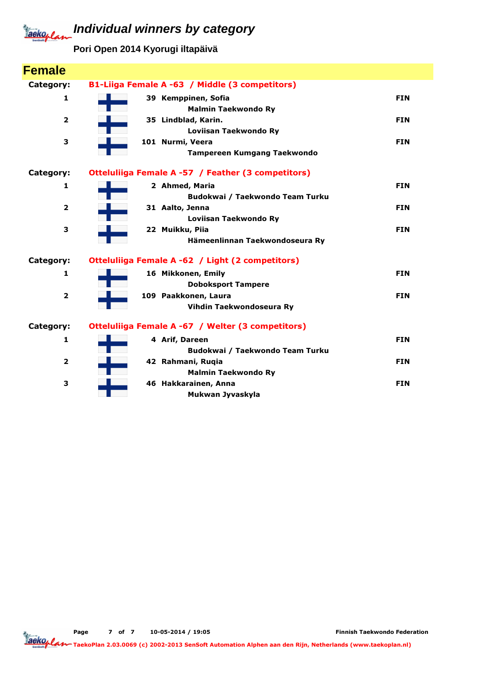**Pori Open 2014 Kyorugi iltapäivä**

| <b>Female</b>           |                                                    |            |
|-------------------------|----------------------------------------------------|------------|
| Category:               | B1-Liiga Female A -63 / Middle (3 competitors)     |            |
| 1                       | 39 Kemppinen, Sofia                                | <b>FIN</b> |
|                         | <b>Malmin Taekwondo Ry</b>                         |            |
| $\overline{\mathbf{2}}$ | 35 Lindblad, Karin.                                | <b>FIN</b> |
|                         | Loviisan Taekwondo Ry                              |            |
| 3                       | 101 Nurmi, Veera                                   | <b>FIN</b> |
|                         | <b>Tampereen Kumgang Taekwondo</b>                 |            |
| Category:               | Otteluliiga Female A -57 / Feather (3 competitors) |            |
| 1                       | 2 Ahmed, Maria                                     | <b>FIN</b> |
|                         | Budokwai / Taekwondo Team Turku                    |            |
| $\overline{2}$          | 31 Aalto, Jenna                                    | <b>FIN</b> |
|                         | Loviisan Taekwondo Ry                              |            |
| 3                       | 22 Muikku, Piia                                    | <b>FIN</b> |
|                         | Hämeenlinnan Taekwondoseura Ry                     |            |
| Category:               | Otteluliiga Female A -62 / Light (2 competitors)   |            |
| $\mathbf{1}$            | 16 Mikkonen, Emily                                 | <b>FIN</b> |
|                         | <b>Doboksport Tampere</b>                          |            |
| $\overline{2}$          | 109 Paakkonen, Laura                               | <b>FIN</b> |
|                         | Vihdin Taekwondoseura Ry                           |            |
| Category:               | Otteluliiga Female A -67 / Welter (3 competitors)  |            |
| 1                       | 4 Arif, Dareen                                     | <b>FIN</b> |
|                         | Budokwai / Taekwondo Team Turku                    |            |
| $\overline{2}$          | 42 Rahmani, Ruqia                                  | <b>FIN</b> |
|                         | <b>Malmin Taekwondo Ry</b>                         |            |
| 3                       | 46 Hakkarainen, Anna                               | <b>FIN</b> |
|                         | Mukwan Jyvaskyla                                   |            |

Finnish Taekwondo Federation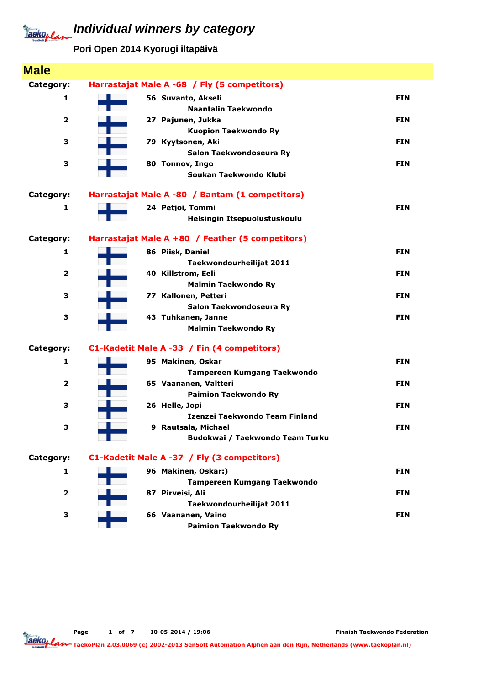**Pori Open 2014 Kyorugi iltapäivä**

| <b>Male</b>             |                                                  |            |
|-------------------------|--------------------------------------------------|------------|
| Category:               | Harrastajat Male A -68 / Fly (5 competitors)     |            |
| 1                       | 56 Suvanto, Akseli                               | <b>FIN</b> |
|                         | Naantalin Taekwondo                              |            |
| 2                       | 27 Pajunen, Jukka                                | <b>FIN</b> |
|                         | <b>Kuopion Taekwondo Ry</b>                      |            |
| 3                       | 79 Kyytsonen, Aki                                | <b>FIN</b> |
|                         | Salon Taekwondoseura Ry                          |            |
| З                       | 80 Tonnov, Ingo                                  | <b>FIN</b> |
|                         | Soukan Taekwondo Klubi                           |            |
| Category:               | Harrastajat Male A -80 / Bantam (1 competitors)  |            |
| 1                       | 24 Petjoi, Tommi                                 | <b>FIN</b> |
|                         | Helsingin Itsepuolustuskoulu                     |            |
| Category:               | Harrastajat Male A +80 / Feather (5 competitors) |            |
| 1                       | 86 Piisk, Daniel                                 | <b>FIN</b> |
|                         | Taekwondourheilijat 2011                         |            |
| $\overline{2}$          | 40 Killstrom, Eeli                               | <b>FIN</b> |
|                         | <b>Malmin Taekwondo Ry</b>                       |            |
| 3                       | 77 Kallonen, Petteri                             | <b>FIN</b> |
|                         | Salon Taekwondoseura Ry                          |            |
| 3                       | 43 Tuhkanen, Janne                               | <b>FIN</b> |
|                         | <b>Malmin Taekwondo Ry</b>                       |            |
| Category:               | C1-Kadetit Male A -33 / Fin (4 competitors)      |            |
| 1                       | 95 Makinen, Oskar                                | <b>FIN</b> |
|                         | <b>Tampereen Kumgang Taekwondo</b>               |            |
| $\overline{\mathbf{2}}$ | 65 Vaananen, Valtteri                            | <b>FIN</b> |
|                         | <b>Paimion Taekwondo Ry</b>                      |            |
| 3                       | 26 Helle, Jopi                                   | <b>FIN</b> |
|                         | Izenzei Taekwondo Team Finland                   |            |
| з                       | 9 Rautsala, Michael                              | <b>FIN</b> |
|                         | Budokwai / Taekwondo Team Turku                  |            |
| Category:               | C1-Kadetit Male A -37 / Fly (3 competitors)      |            |
| 1                       | 96 Makinen, Oskar:)                              | <b>FIN</b> |
|                         | <b>Tampereen Kumgang Taekwondo</b>               |            |
| $\overline{\mathbf{2}}$ | 87 Pirveisi, Ali                                 | <b>FIN</b> |
|                         | Taekwondourheilijat 2011                         |            |
| З                       | 66 Vaananen, Vaino                               | <b>FIN</b> |
|                         | <b>Paimion Taekwondo Ry</b>                      |            |

Page 1 of 7 10-05-2014 / 19:06

Finnish Taekwondo Federation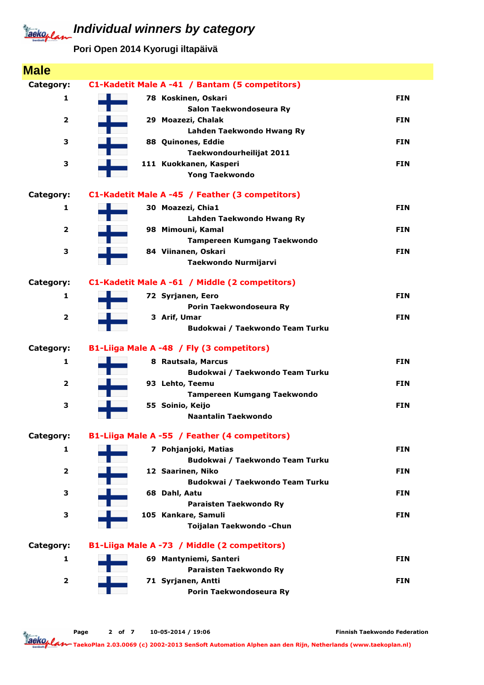**Pori Open 2014 Kyorugi iltapäivä**

| <b>Male</b>             |                                                 |            |
|-------------------------|-------------------------------------------------|------------|
| Category:               | C1-Kadetit Male A -41 / Bantam (5 competitors)  |            |
| 1                       | 78 Koskinen, Oskari                             | <b>FIN</b> |
|                         | Salon Taekwondoseura Ry                         |            |
| $\mathbf{2}$            | 29 Moazezi, Chalak                              | <b>FIN</b> |
|                         | Lahden Taekwondo Hwang Ry                       |            |
| 3                       | 88 Quinones, Eddie                              | <b>FIN</b> |
|                         | Taekwondourheilijat 2011                        |            |
| 3                       | 111 Kuokkanen, Kasperi<br><b>Yong Taekwondo</b> | <b>FIN</b> |
|                         |                                                 |            |
| Category:               | C1-Kadetit Male A -45 / Feather (3 competitors) |            |
| 1                       | 30 Moazezi, Chia1                               | <b>FIN</b> |
|                         | Lahden Taekwondo Hwang Ry                       |            |
| $\overline{2}$          | 98 Mimouni, Kamal                               | <b>FIN</b> |
|                         | <b>Tampereen Kumgang Taekwondo</b>              |            |
| 3                       | 84 Viinanen, Oskari                             | <b>FIN</b> |
|                         | Taekwondo Nurmijarvi                            |            |
| Category:               | C1-Kadetit Male A -61 / Middle (2 competitors)  |            |
| 1                       | 72 Syrjanen, Eero                               | <b>FIN</b> |
|                         | Porin Taekwondoseura Ry                         |            |
| $\overline{2}$          | 3 Arif, Umar                                    | <b>FIN</b> |
|                         | Budokwai / Taekwondo Team Turku                 |            |
| Category:               | B1-Liiga Male A -48 / Fly (3 competitors)       |            |
| 1                       | 8 Rautsala, Marcus                              | <b>FIN</b> |
|                         | Budokwai / Taekwondo Team Turku                 |            |
| $\mathbf{2}$            | 93 Lehto, Teemu                                 | <b>FIN</b> |
|                         | <b>Tampereen Kumgang Taekwondo</b>              |            |
| 3                       | 55 Soinio, Keijo                                | <b>FIN</b> |
|                         | Naantalin Taekwondo                             |            |
| Category:               | B1-Liiga Male A -55 / Feather (4 competitors)   |            |
| 1                       | 7 Pohjanjoki, Matias                            | <b>FIN</b> |
|                         | Budokwai / Taekwondo Team Turku                 |            |
|                         |                                                 |            |
| $\mathbf{2}$            | 12 Saarinen, Niko                               | <b>FIN</b> |
|                         | Budokwai / Taekwondo Team Turku                 |            |
| 3                       | 68 Dahl, Aatu                                   | <b>FIN</b> |
|                         | Paraisten Taekwondo Ry                          |            |
| 3                       | 105 Kankare, Samuli                             | <b>FIN</b> |
|                         | Toijalan Taekwondo - Chun                       |            |
| Category:               | B1-Liiga Male A -73 / Middle (2 competitors)    |            |
| 1                       | 69 Mantyniemi, Santeri                          | <b>FIN</b> |
|                         | Paraisten Taekwondo Ry                          |            |
| $\overline{\mathbf{2}}$ | 71 Syrjanen, Antti                              | <b>FIN</b> |

Page 2 of 7 10-05-2014 / 19:06

Finnish Taekwondo Federation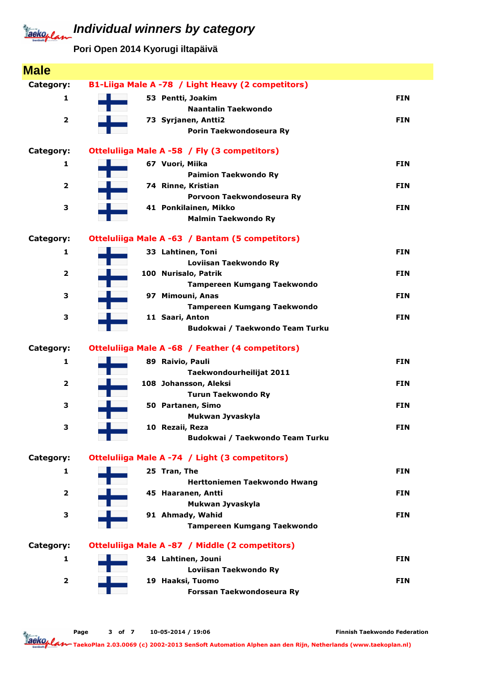**Pori Open 2014 Kyorugi iltapäivä**

| <b>Male</b>             |                                                    |            |
|-------------------------|----------------------------------------------------|------------|
| Category:               | B1-Liiga Male A -78 / Light Heavy (2 competitors)  |            |
| 1                       | 53 Pentti, Joakim                                  | <b>FIN</b> |
|                         | <b>Naantalin Taekwondo</b>                         |            |
| $\overline{\mathbf{2}}$ | 73 Syrjanen, Antti2                                | <b>FIN</b> |
|                         | Porin Taekwondoseura Ry                            |            |
| Category:               | Otteluliiga Male A -58 / Fly (3 competitors)       |            |
| 1                       | 67 Vuori, Miika                                    | <b>FIN</b> |
|                         | <b>Paimion Taekwondo Ry</b>                        |            |
| $\overline{\mathbf{2}}$ | 74 Rinne, Kristian                                 | <b>FIN</b> |
|                         | Porvoon Taekwondoseura Ry                          |            |
| 3                       | 41 Ponkilainen, Mikko                              | <b>FIN</b> |
|                         | <b>Malmin Taekwondo Ry</b>                         |            |
| Category:               | Otteluliiga Male A -63 / Bantam (5 competitors)    |            |
| 1                       | 33 Lahtinen, Toni                                  | <b>FIN</b> |
|                         | Loviisan Taekwondo Ry                              |            |
| $\overline{\mathbf{2}}$ | 100 Nurisalo, Patrik                               | <b>FIN</b> |
|                         | Tampereen Kumgang Taekwondo                        |            |
| 3                       | 97 Mimouni, Anas                                   | <b>FIN</b> |
|                         | Tampereen Kumgang Taekwondo                        |            |
| 3                       | 11 Saari, Anton                                    | <b>FIN</b> |
|                         | Budokwai / Taekwondo Team Turku                    |            |
| Category:               | Otteluliiga Male A -68 / Feather (4 competitors)   |            |
| 1                       | 89 Raivio, Pauli                                   | <b>FIN</b> |
|                         | Taekwondourheilijat 2011                           |            |
| $\overline{\mathbf{2}}$ | 108 Johansson, Aleksi                              | <b>FIN</b> |
|                         | <b>Turun Taekwondo Ry</b>                          |            |
| 3                       | 50 Partanen, Simo                                  | <b>FIN</b> |
| 3                       | Mukwan Jyvaskyla                                   | <b>FIN</b> |
|                         | 10 Rezaii, Reza<br>Budokwai / Taekwondo Team Turku |            |
|                         |                                                    |            |
| Category:               | Otteluliiga Male A -74 / Light (3 competitors)     |            |
| 1                       | 25 Tran, The                                       | <b>FIN</b> |
|                         | Herttoniemen Taekwondo Hwang                       |            |
| $\overline{\mathbf{2}}$ | 45 Haaranen, Antti                                 | <b>FIN</b> |
|                         | Mukwan Jyvaskyla                                   |            |
| 3                       | 91 Ahmady, Wahid                                   | <b>FIN</b> |
|                         | <b>Tampereen Kumgang Taekwondo</b>                 |            |
| Category:               | Otteluliiga Male A -87 / Middle (2 competitors)    |            |
| 1                       | 34 Lahtinen, Jouni                                 | <b>FIN</b> |
|                         | Loviisan Taekwondo Ry                              |            |
| $\overline{\mathbf{2}}$ | 19 Haaksi, Tuomo                                   | <b>FIN</b> |
|                         | Forssan Taekwondoseura Ry                          |            |
|                         |                                                    |            |

Page 3 of 7 10-05-2014 / 19:06

Finnish Taekwondo Federation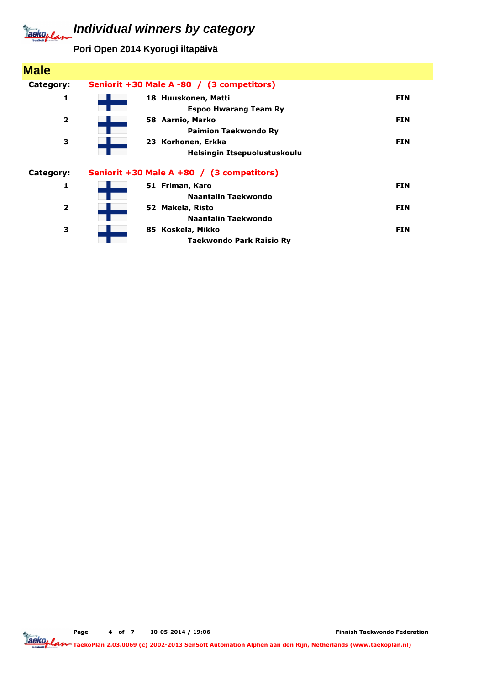**Pori Open 2014 Kyorugi iltapäivä**

| <b>Male</b>             |                                                     |            |
|-------------------------|-----------------------------------------------------|------------|
| Category:               | Seniorit +30 Male A -80 / (3 competitors)           |            |
| 1                       | 18 Huuskonen, Matti<br><b>Espoo Hwarang Team Ry</b> | <b>FIN</b> |
| $\overline{\mathbf{2}}$ | 58 Aarnio, Marko<br><b>Paimion Taekwondo Ry</b>     | <b>FIN</b> |
| 3                       | 23 Korhonen, Erkka<br>Helsingin Itsepuolustuskoulu  | <b>FIN</b> |
| Category:               | Seniorit +30 Male A +80 / (3 competitors)           |            |
| 1                       | 51 Friman, Karo<br>Naantalin Taekwondo              | <b>FIN</b> |
| $\overline{2}$          | 52 Makela, Risto<br><b>Naantalin Taekwondo</b>      | <b>FIN</b> |
| з                       | 85 Koskela, Mikko<br>Taekwondo Park Raisio Ry       | <b>FIN</b> |

Page 4 of 7 10-05-2014 / 19:06

Finnish Taekwondo Federation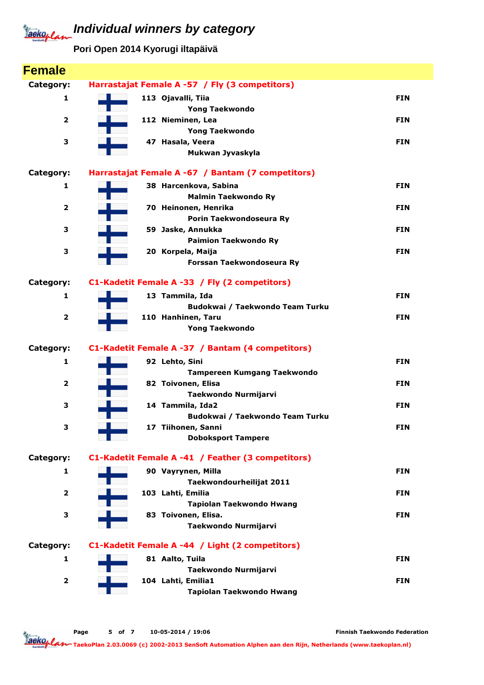**Pori Open 2014 Kyorugi iltapäivä**

| <b>Female</b>           |                                                       |            |
|-------------------------|-------------------------------------------------------|------------|
| Category:               | Harrastajat Female A -57 / Fly (3 competitors)        |            |
| $\mathbf{1}$            | 113 Ojavalli, Tiia                                    | <b>FIN</b> |
|                         | <b>Yong Taekwondo</b>                                 |            |
| 2                       | 112 Nieminen, Lea                                     | <b>FIN</b> |
|                         | <b>Yong Taekwondo</b>                                 |            |
| 3                       | 47 Hasala, Veera                                      | <b>FIN</b> |
|                         | Mukwan Jyvaskyla                                      |            |
| Category:               | Harrastajat Female A -67 / Bantam (7 competitors)     |            |
| 1                       | 38 Harcenkova, Sabina                                 | <b>FIN</b> |
|                         | <b>Malmin Taekwondo Ry</b>                            |            |
| 2                       | 70 Heinonen, Henrika                                  | <b>FIN</b> |
|                         | Porin Taekwondoseura Ry                               |            |
| 3                       | 59 Jaske, Annukka                                     | <b>FIN</b> |
| з                       | <b>Paimion Taekwondo Ry</b><br>20 Korpela, Maija      | <b>FIN</b> |
|                         | Forssan Taekwondoseura Ry                             |            |
|                         |                                                       |            |
| Category:               | C1-Kadetit Female A -33 / Fly (2 competitors)         |            |
| 1                       | 13 Tammila, Ida                                       | <b>FIN</b> |
|                         | Budokwai / Taekwondo Team Turku                       |            |
| $\overline{\mathbf{2}}$ | 110 Hanhinen, Taru                                    | <b>FIN</b> |
|                         | <b>Yong Taekwondo</b>                                 |            |
| Category:               | C1-Kadetit Female A -37 / Bantam (4 competitors)      |            |
| 1                       | 92 Lehto, Sini                                        | <b>FIN</b> |
|                         | <b>Tampereen Kumgang Taekwondo</b>                    |            |
| 2                       | 82 Toivonen, Elisa                                    | <b>FIN</b> |
|                         | Taekwondo Nurmijarvi                                  |            |
| 3                       | 14 Tammila, Ida2                                      | <b>FIN</b> |
| з                       | Budokwai / Taekwondo Team Turku<br>17 Tiihonen, Sanni | FIN        |
|                         | <b>Doboksport Tampere</b>                             |            |
|                         |                                                       |            |
| Category:               | C1-Kadetit Female A -41 / Feather (3 competitors)     |            |
| 1                       | 90 Vayrynen, Milla                                    | <b>FIN</b> |
|                         | Taekwondourheilijat 2011                              |            |
| $\overline{\mathbf{2}}$ | 103 Lahti, Emilia                                     | <b>FIN</b> |
|                         | Tapiolan Taekwondo Hwang                              |            |
| з                       | 83 Toivonen, Elisa.                                   | <b>FIN</b> |
|                         | Taekwondo Nurmijarvi                                  |            |
| Category:               | C1-Kadetit Female A -44 / Light (2 competitors)       |            |
| 1                       | 81 Aalto, Tuila                                       | <b>FIN</b> |
|                         | Taekwondo Nurmijarvi                                  |            |
| $\overline{\mathbf{2}}$ | 104 Lahti, Emilia1                                    | <b>FIN</b> |
|                         |                                                       |            |
|                         | Tapiolan Taekwondo Hwang                              |            |

Page 5 of 7 10-05-2014 / 19:06

Finnish Taekwondo Federation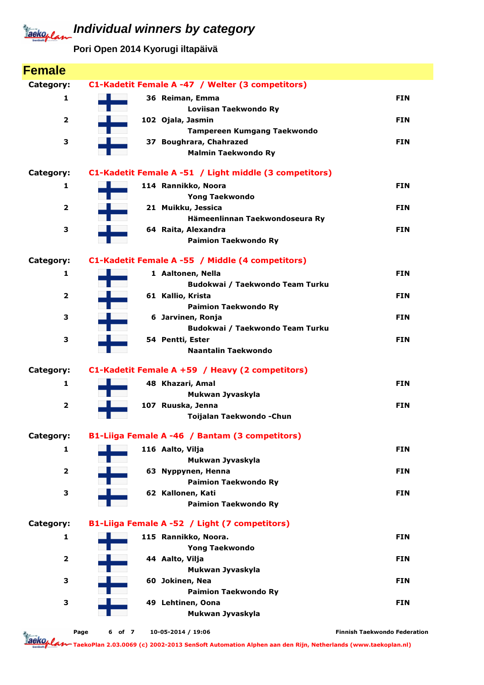**Pori Open 2014 Kyorugi iltapäivä**

| <b>Female</b>           |                |                                                        |                                     |
|-------------------------|----------------|--------------------------------------------------------|-------------------------------------|
| Category:               |                | C1-Kadetit Female A -47 / Welter (3 competitors)       |                                     |
| 1                       |                | 36 Reiman, Emma                                        | <b>FIN</b>                          |
|                         |                | Loviisan Taekwondo Ry                                  |                                     |
| $\overline{\mathbf{2}}$ |                | 102 Ojala, Jasmin                                      | <b>FIN</b>                          |
|                         |                | Tampereen Kumgang Taekwondo                            |                                     |
| З                       |                | 37 Boughrara, Chahrazed                                | <b>FIN</b>                          |
|                         |                | <b>Malmin Taekwondo Ry</b>                             |                                     |
| Category:               |                | C1-Kadetit Female A -51 / Light middle (3 competitors) |                                     |
| 1                       |                | 114 Rannikko, Noora                                    | <b>FIN</b>                          |
|                         |                | <b>Yong Taekwondo</b>                                  |                                     |
| 2                       |                | 21 Muikku, Jessica                                     | <b>FIN</b>                          |
|                         |                | Hämeenlinnan Taekwondoseura Ry                         |                                     |
| 3                       |                | 64 Raita, Alexandra                                    | <b>FIN</b>                          |
|                         |                | <b>Paimion Taekwondo Ry</b>                            |                                     |
| Category:               |                | C1-Kadetit Female A -55 / Middle (4 competitors)       |                                     |
| 1                       |                | 1 Aaltonen, Nella                                      | <b>FIN</b>                          |
|                         |                | Budokwai / Taekwondo Team Turku                        |                                     |
| 2                       |                | 61 Kallio, Krista                                      | <b>FIN</b>                          |
|                         |                | <b>Paimion Taekwondo Ry</b>                            |                                     |
| З                       |                | 6 Jarvinen, Ronja                                      | <b>FIN</b>                          |
|                         |                | Budokwai / Taekwondo Team Turku                        |                                     |
| з                       |                | 54 Pentti, Ester<br>Naantalin Taekwondo                | <b>FIN</b>                          |
|                         |                |                                                        |                                     |
| Category:               |                | C1-Kadetit Female A +59 / Heavy (2 competitors)        |                                     |
| 1                       |                | 48 Khazari, Amal                                       | <b>FIN</b>                          |
|                         |                | Mukwan Jyvaskyla                                       |                                     |
| $\overline{\mathbf{2}}$ |                | 107 Ruuska, Jenna<br>Toijalan Taekwondo - Chun         | <b>FIN</b>                          |
|                         |                |                                                        |                                     |
| Category:               |                | B1-Liiga Female A -46 / Bantam (3 competitors)         |                                     |
| 1                       |                | 116 Aalto, Vilja                                       | <b>FIN</b>                          |
|                         |                | Mukwan Jyvaskyla                                       |                                     |
| $\overline{\mathbf{2}}$ |                | 63 Nyppynen, Henna                                     | <b>FIN</b>                          |
|                         |                | <b>Paimion Taekwondo Ry</b>                            |                                     |
| 3                       |                | 62 Kallonen, Kati<br><b>Paimion Taekwondo Ry</b>       | <b>FIN</b>                          |
|                         |                |                                                        |                                     |
| Category:               |                | B1-Liiga Female A -52 / Light (7 competitors)          |                                     |
| $\mathbf{1}$            |                | 115 Rannikko, Noora.                                   | <b>FIN</b>                          |
|                         |                | <b>Yong Taekwondo</b>                                  |                                     |
| $\overline{\mathbf{2}}$ |                | 44 Aalto, Vilja                                        | <b>FIN</b>                          |
|                         |                | Mukwan Jyvaskyla                                       |                                     |
| З                       |                | 60 Jokinen, Nea<br><b>Paimion Taekwondo Ry</b>         | <b>FIN</b>                          |
| З                       |                | 49 Lehtinen, Oona                                      | <b>FIN</b>                          |
|                         |                | Mukwan Jyvaskyla                                       |                                     |
|                         |                |                                                        |                                     |
|                         | Page<br>6 of 7 | 10-05-2014 / 19:06                                     | <b>Finnish Taekwondo Federation</b> |